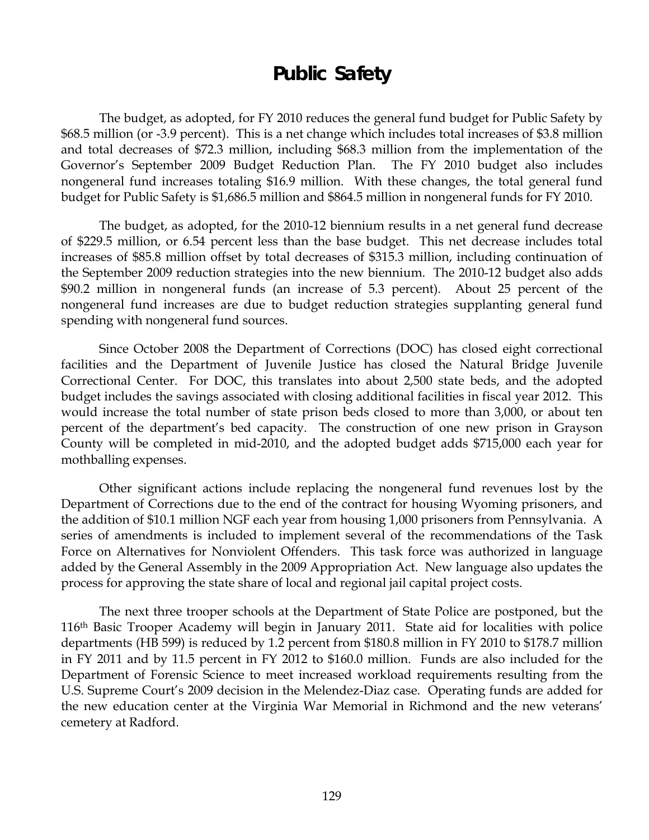# **Public Safety**

 The budget, as adopted, for FY 2010 reduces the general fund budget for Public Safety by \$68.5 million (or -3.9 percent). This is a net change which includes total increases of \$3.8 million and total decreases of \$72.3 million, including \$68.3 million from the implementation of the Governor's September 2009 Budget Reduction Plan. The FY 2010 budget also includes nongeneral fund increases totaling \$16.9 million. With these changes, the total general fund budget for Public Safety is \$1,686.5 million and \$864.5 million in nongeneral funds for FY 2010.

The budget, as adopted, for the 2010-12 biennium results in a net general fund decrease of \$229.5 million, or 6.54 percent less than the base budget. This net decrease includes total increases of \$85.8 million offset by total decreases of \$315.3 million, including continuation of the September 2009 reduction strategies into the new biennium. The 2010-12 budget also adds \$90.2 million in nongeneral funds (an increase of 5.3 percent). About 25 percent of the nongeneral fund increases are due to budget reduction strategies supplanting general fund spending with nongeneral fund sources.

Since October 2008 the Department of Corrections (DOC) has closed eight correctional facilities and the Department of Juvenile Justice has closed the Natural Bridge Juvenile Correctional Center. For DOC, this translates into about 2,500 state beds, and the adopted budget includes the savings associated with closing additional facilities in fiscal year 2012. This would increase the total number of state prison beds closed to more than 3,000, or about ten percent of the department's bed capacity. The construction of one new prison in Grayson County will be completed in mid-2010, and the adopted budget adds \$715,000 each year for mothballing expenses.

Other significant actions include replacing the nongeneral fund revenues lost by the Department of Corrections due to the end of the contract for housing Wyoming prisoners, and the addition of \$10.1 million NGF each year from housing 1,000 prisoners from Pennsylvania. A series of amendments is included to implement several of the recommendations of the Task Force on Alternatives for Nonviolent Offenders. This task force was authorized in language added by the General Assembly in the 2009 Appropriation Act. New language also updates the process for approving the state share of local and regional jail capital project costs.

The next three trooper schools at the Department of State Police are postponed, but the 116th Basic Trooper Academy will begin in January 2011. State aid for localities with police departments (HB 599) is reduced by 1.2 percent from \$180.8 million in FY 2010 to \$178.7 million in FY 2011 and by 11.5 percent in FY 2012 to \$160.0 million. Funds are also included for the Department of Forensic Science to meet increased workload requirements resulting from the U.S. Supreme Court's 2009 decision in the Melendez-Diaz case. Operating funds are added for the new education center at the Virginia War Memorial in Richmond and the new veterans' cemetery at Radford.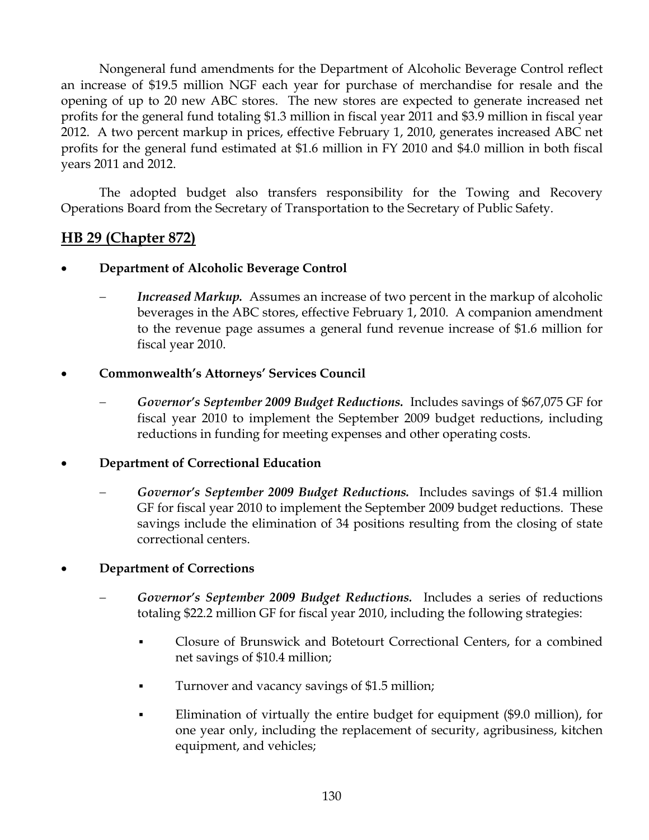Nongeneral fund amendments for the Department of Alcoholic Beverage Control reflect an increase of \$19.5 million NGF each year for purchase of merchandise for resale and the opening of up to 20 new ABC stores. The new stores are expected to generate increased net profits for the general fund totaling \$1.3 million in fiscal year 2011 and \$3.9 million in fiscal year 2012. A two percent markup in prices, effective February 1, 2010, generates increased ABC net profits for the general fund estimated at \$1.6 million in FY 2010 and \$4.0 million in both fiscal years 2011 and 2012.

The adopted budget also transfers responsibility for the Towing and Recovery Operations Board from the Secretary of Transportation to the Secretary of Public Safety.

# **HB 29 (Chapter 872)**

- **Department of Alcoholic Beverage Control** 
	- *Increased Markup.* Assumes an increase of two percent in the markup of alcoholic beverages in the ABC stores, effective February 1, 2010. A companion amendment to the revenue page assumes a general fund revenue increase of \$1.6 million for fiscal year 2010.

## • **Commonwealth's Attorneys' Services Council**

− *Governor's September 2009 Budget Reductions.* Includes savings of \$67,075 GF for fiscal year 2010 to implement the September 2009 budget reductions, including reductions in funding for meeting expenses and other operating costs.

## • **Department of Correctional Education**

− *Governor's September 2009 Budget Reductions.* Includes savings of \$1.4 million GF for fiscal year 2010 to implement the September 2009 budget reductions. These savings include the elimination of 34 positions resulting from the closing of state correctional centers.

## • **Department of Corrections**

- − *Governor's September 2009 Budget Reductions.* Includes a series of reductions totaling \$22.2 million GF for fiscal year 2010, including the following strategies:
	- Closure of Brunswick and Botetourt Correctional Centers, for a combined net savings of \$10.4 million;
	- Turnover and vacancy savings of \$1.5 million;
	- Elimination of virtually the entire budget for equipment (\$9.0 million), for one year only, including the replacement of security, agribusiness, kitchen equipment, and vehicles;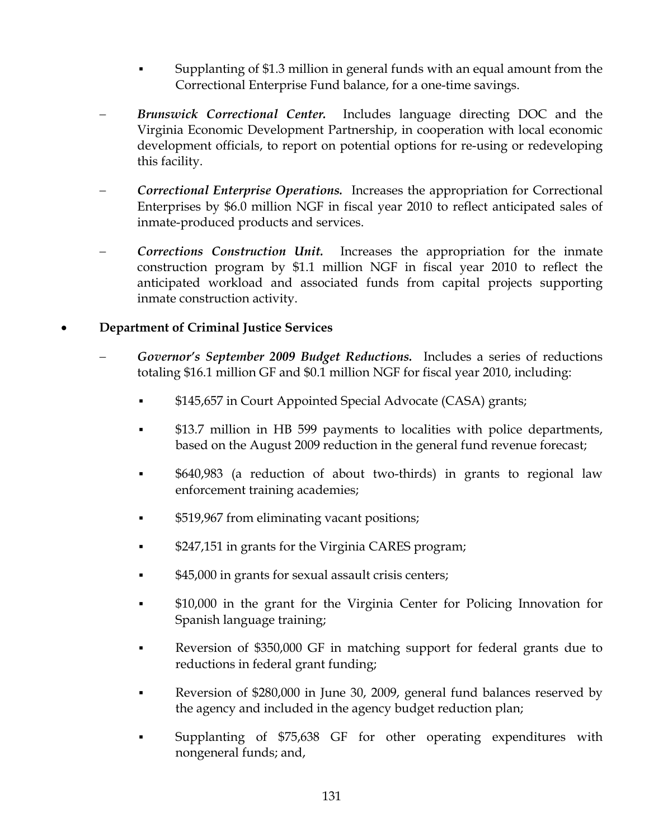- Supplanting of \$1.3 million in general funds with an equal amount from the Correctional Enterprise Fund balance, for a one-time savings.
- *Brunswick Correctional Center.* Includes language directing DOC and the Virginia Economic Development Partnership, in cooperation with local economic development officials, to report on potential options for re-using or redeveloping this facility.
- **Correctional Enterprise Operations.** Increases the appropriation for Correctional Enterprises by \$6.0 million NGF in fiscal year 2010 to reflect anticipated sales of inmate-produced products and services.
- **Corrections Construction Unit.** Increases the appropriation for the inmate construction program by \$1.1 million NGF in fiscal year 2010 to reflect the anticipated workload and associated funds from capital projects supporting inmate construction activity.

#### • **Department of Criminal Justice Services**

- − *Governor's September 2009 Budget Reductions.* Includes a series of reductions totaling \$16.1 million GF and \$0.1 million NGF for fiscal year 2010, including:
	- \$145,657 in Court Appointed Special Advocate (CASA) grants;
	- \$13.7 million in HB 599 payments to localities with police departments, based on the August 2009 reduction in the general fund revenue forecast;
	- \$640,983 (a reduction of about two-thirds) in grants to regional law enforcement training academies;
	- \$519,967 from eliminating vacant positions;
	- \$247,151 in grants for the Virginia CARES program;
	- \$45,000 in grants for sexual assault crisis centers;
	- \$10,000 in the grant for the Virginia Center for Policing Innovation for Spanish language training;
	- Reversion of \$350,000 GF in matching support for federal grants due to reductions in federal grant funding;
	- Reversion of \$280,000 in June 30, 2009, general fund balances reserved by the agency and included in the agency budget reduction plan;
	- Supplanting of \$75,638 GF for other operating expenditures with nongeneral funds; and,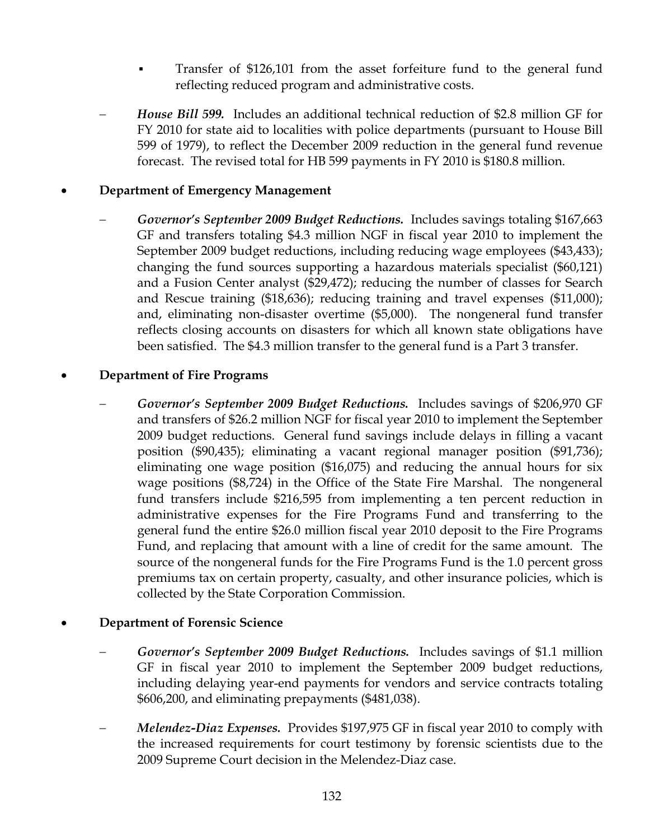- Transfer of \$126,101 from the asset forfeiture fund to the general fund reflecting reduced program and administrative costs.
- *House Bill 599.* Includes an additional technical reduction of \$2.8 million GF for FY 2010 for state aid to localities with police departments (pursuant to House Bill 599 of 1979), to reflect the December 2009 reduction in the general fund revenue forecast. The revised total for HB 599 payments in FY 2010 is \$180.8 million.

#### • **Department of Emergency Management**

− *Governor's September 2009 Budget Reductions.* Includes savings totaling \$167,663 GF and transfers totaling \$4.3 million NGF in fiscal year 2010 to implement the September 2009 budget reductions, including reducing wage employees (\$43,433); changing the fund sources supporting a hazardous materials specialist (\$60,121) and a Fusion Center analyst (\$29,472); reducing the number of classes for Search and Rescue training (\$18,636); reducing training and travel expenses (\$11,000); and, eliminating non-disaster overtime (\$5,000). The nongeneral fund transfer reflects closing accounts on disasters for which all known state obligations have been satisfied. The \$4.3 million transfer to the general fund is a Part 3 transfer.

#### • **Department of Fire Programs**

− *Governor's September 2009 Budget Reductions.* Includes savings of \$206,970 GF and transfers of \$26.2 million NGF for fiscal year 2010 to implement the September 2009 budget reductions. General fund savings include delays in filling a vacant position (\$90,435); eliminating a vacant regional manager position (\$91,736); eliminating one wage position (\$16,075) and reducing the annual hours for six wage positions (\$8,724) in the Office of the State Fire Marshal. The nongeneral fund transfers include \$216,595 from implementing a ten percent reduction in administrative expenses for the Fire Programs Fund and transferring to the general fund the entire \$26.0 million fiscal year 2010 deposit to the Fire Programs Fund, and replacing that amount with a line of credit for the same amount. The source of the nongeneral funds for the Fire Programs Fund is the 1.0 percent gross premiums tax on certain property, casualty, and other insurance policies, which is collected by the State Corporation Commission.

#### • **Department of Forensic Science**

- − *Governor's September 2009 Budget Reductions.* Includes savings of \$1.1 million GF in fiscal year 2010 to implement the September 2009 budget reductions, including delaying year-end payments for vendors and service contracts totaling \$606,200, and eliminating prepayments (\$481,038).
- − *Melendez-Diaz Expenses.* Provides \$197,975 GF in fiscal year 2010 to comply with the increased requirements for court testimony by forensic scientists due to the 2009 Supreme Court decision in the Melendez-Diaz case.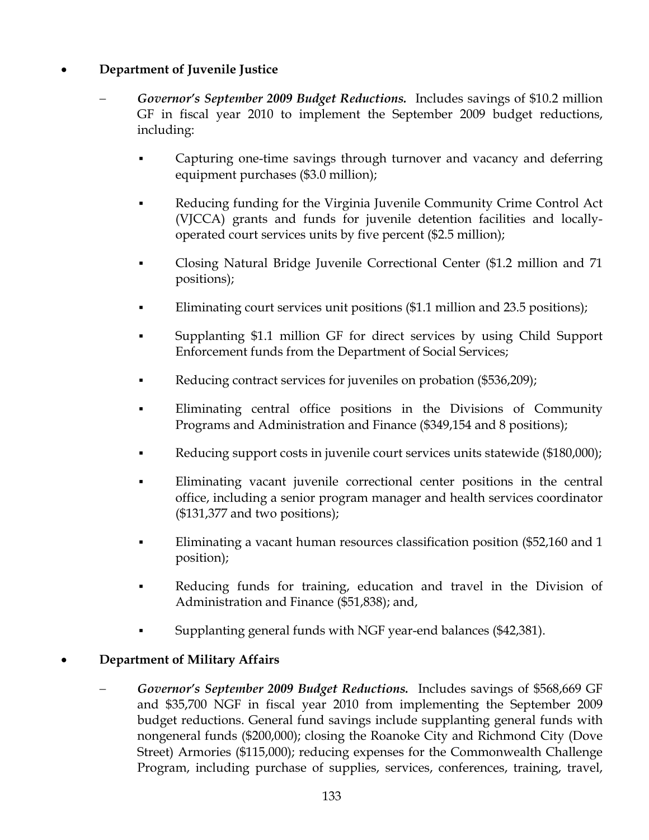## • **Department of Juvenile Justice**

- − *Governor's September 2009 Budget Reductions.* Includes savings of \$10.2 million GF in fiscal year 2010 to implement the September 2009 budget reductions, including:
	- Capturing one-time savings through turnover and vacancy and deferring equipment purchases (\$3.0 million);
	- Reducing funding for the Virginia Juvenile Community Crime Control Act (VJCCA) grants and funds for juvenile detention facilities and locallyoperated court services units by five percent (\$2.5 million);
	- Closing Natural Bridge Juvenile Correctional Center (\$1.2 million and 71 positions);
	- Eliminating court services unit positions (\$1.1 million and 23.5 positions);
	- Supplanting \$1.1 million GF for direct services by using Child Support Enforcement funds from the Department of Social Services;
	- Reducing contract services for juveniles on probation (\$536,209);
	- Eliminating central office positions in the Divisions of Community Programs and Administration and Finance (\$349,154 and 8 positions);
	- Reducing support costs in juvenile court services units statewide (\$180,000);
	- Eliminating vacant juvenile correctional center positions in the central office, including a senior program manager and health services coordinator (\$131,377 and two positions);
	- Eliminating a vacant human resources classification position (\$52,160 and 1 position);
	- Reducing funds for training, education and travel in the Division of Administration and Finance (\$51,838); and,
	- Supplanting general funds with NGF year-end balances (\$42,381).

## • **Department of Military Affairs**

− *Governor's September 2009 Budget Reductions.* Includes savings of \$568,669 GF and \$35,700 NGF in fiscal year 2010 from implementing the September 2009 budget reductions. General fund savings include supplanting general funds with nongeneral funds (\$200,000); closing the Roanoke City and Richmond City (Dove Street) Armories (\$115,000); reducing expenses for the Commonwealth Challenge Program, including purchase of supplies, services, conferences, training, travel,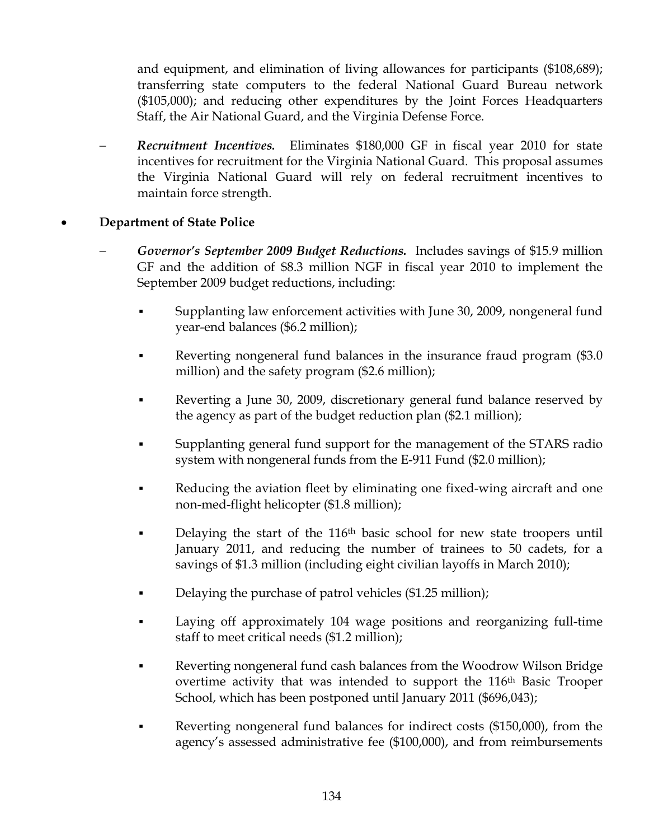and equipment, and elimination of living allowances for participants (\$108,689); transferring state computers to the federal National Guard Bureau network (\$105,000); and reducing other expenditures by the Joint Forces Headquarters Staff, the Air National Guard, and the Virginia Defense Force.

− *Recruitment Incentives.* Eliminates \$180,000 GF in fiscal year 2010 for state incentives for recruitment for the Virginia National Guard. This proposal assumes the Virginia National Guard will rely on federal recruitment incentives to maintain force strength.

## • **Department of State Police**

- − *Governor's September 2009 Budget Reductions.* Includes savings of \$15.9 million GF and the addition of \$8.3 million NGF in fiscal year 2010 to implement the September 2009 budget reductions, including:
	- Supplanting law enforcement activities with June 30, 2009, nongeneral fund year-end balances (\$6.2 million);
	- Reverting nongeneral fund balances in the insurance fraud program (\$3.0) million) and the safety program (\$2.6 million);
	- Reverting a June 30, 2009, discretionary general fund balance reserved by the agency as part of the budget reduction plan (\$2.1 million);
	- Supplanting general fund support for the management of the STARS radio system with nongeneral funds from the E-911 Fund (\$2.0 million);
	- Reducing the aviation fleet by eliminating one fixed-wing aircraft and one non-med-flight helicopter (\$1.8 million);
	- Delaying the start of the 116<sup>th</sup> basic school for new state troopers until January 2011, and reducing the number of trainees to 50 cadets, for a savings of \$1.3 million (including eight civilian layoffs in March 2010);
	- Delaying the purchase of patrol vehicles (\$1.25 million);
	- Laying off approximately 104 wage positions and reorganizing full-time staff to meet critical needs (\$1.2 million);
	- Reverting nongeneral fund cash balances from the Woodrow Wilson Bridge overtime activity that was intended to support the 116<sup>th</sup> Basic Trooper School, which has been postponed until January 2011 (\$696,043);
	- Reverting nongeneral fund balances for indirect costs (\$150,000), from the agency's assessed administrative fee (\$100,000), and from reimbursements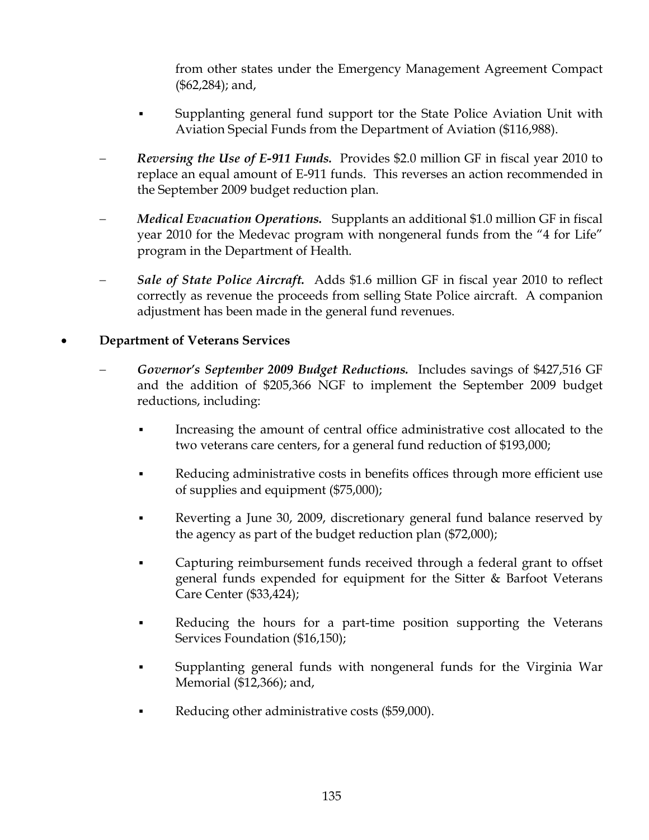from other states under the Emergency Management Agreement Compact (\$62,284); and,

- Supplanting general fund support tor the State Police Aviation Unit with Aviation Special Funds from the Department of Aviation (\$116,988).
- − *Reversing the Use of E-911 Funds.* Provides \$2.0 million GF in fiscal year 2010 to replace an equal amount of E-911 funds. This reverses an action recommended in the September 2009 budget reduction plan.
- *Medical Evacuation Operations.* Supplants an additional \$1.0 million GF in fiscal year 2010 for the Medevac program with nongeneral funds from the "4 for Life" program in the Department of Health.
- − *Sale of State Police Aircraft.* Adds \$1.6 million GF in fiscal year 2010 to reflect correctly as revenue the proceeds from selling State Police aircraft. A companion adjustment has been made in the general fund revenues.

#### • **Department of Veterans Services**

- − *Governor's September 2009 Budget Reductions.* Includes savings of \$427,516 GF and the addition of \$205,366 NGF to implement the September 2009 budget reductions, including:
	- **•** Increasing the amount of central office administrative cost allocated to the two veterans care centers, for a general fund reduction of \$193,000;
	- Reducing administrative costs in benefits offices through more efficient use of supplies and equipment (\$75,000);
	- **EXECUTE:** Reverting a June 30, 2009, discretionary general fund balance reserved by the agency as part of the budget reduction plan (\$72,000);
	- Capturing reimbursement funds received through a federal grant to offset general funds expended for equipment for the Sitter & Barfoot Veterans Care Center (\$33,424);
	- Reducing the hours for a part-time position supporting the Veterans Services Foundation (\$16,150);
	- Supplanting general funds with nongeneral funds for the Virginia War Memorial (\$12,366); and,
	- Reducing other administrative costs (\$59,000).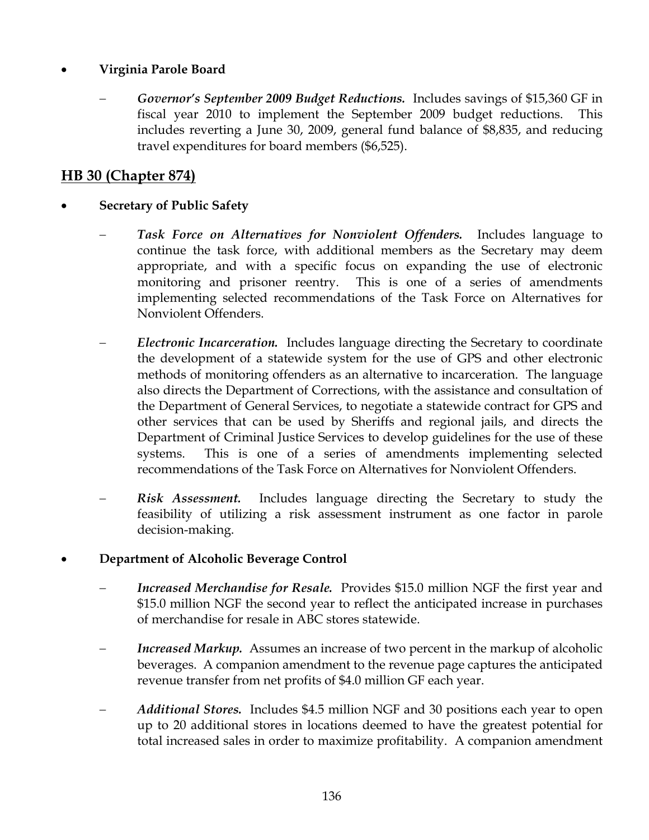## • **Virginia Parole Board**

− *Governor's September 2009 Budget Reductions.* Includes savings of \$15,360 GF in fiscal year 2010 to implement the September 2009 budget reductions. This includes reverting a June 30, 2009, general fund balance of \$8,835, and reducing travel expenditures for board members (\$6,525).

## **HB 30 (Chapter 874)**

- **Secretary of Public Safety** 
	- − *Task Force on Alternatives for Nonviolent Offenders.* Includes language to continue the task force, with additional members as the Secretary may deem appropriate, and with a specific focus on expanding the use of electronic monitoring and prisoner reentry. This is one of a series of amendments implementing selected recommendations of the Task Force on Alternatives for Nonviolent Offenders.
	- − *Electronic Incarceration.* Includes language directing the Secretary to coordinate the development of a statewide system for the use of GPS and other electronic methods of monitoring offenders as an alternative to incarceration. The language also directs the Department of Corrections, with the assistance and consultation of the Department of General Services, to negotiate a statewide contract for GPS and other services that can be used by Sheriffs and regional jails, and directs the Department of Criminal Justice Services to develop guidelines for the use of these systems. This is one of a series of amendments implementing selected recommendations of the Task Force on Alternatives for Nonviolent Offenders.
	- **Risk Assessment.** Includes language directing the Secretary to study the feasibility of utilizing a risk assessment instrument as one factor in parole decision-making.

## • **Department of Alcoholic Beverage Control**

- *Increased Merchandise for Resale.* Provides \$15.0 million NGF the first year and \$15.0 million NGF the second year to reflect the anticipated increase in purchases of merchandise for resale in ABC stores statewide.
- *Increased Markup.* Assumes an increase of two percent in the markup of alcoholic beverages. A companion amendment to the revenue page captures the anticipated revenue transfer from net profits of \$4.0 million GF each year.
- − *Additional Stores.* Includes \$4.5 million NGF and 30 positions each year to open up to 20 additional stores in locations deemed to have the greatest potential for total increased sales in order to maximize profitability. A companion amendment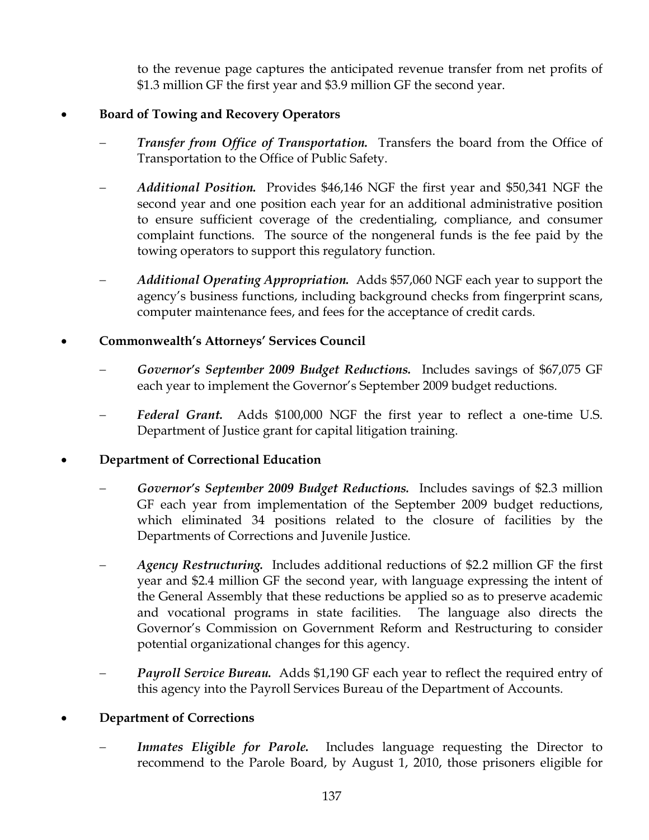to the revenue page captures the anticipated revenue transfer from net profits of \$1.3 million GF the first year and \$3.9 million GF the second year.

## • **Board of Towing and Recovery Operators**

- *Transfer from Office of Transportation.* Transfers the board from the Office of Transportation to the Office of Public Safety.
- − *Additional Position.* Provides \$46,146 NGF the first year and \$50,341 NGF the second year and one position each year for an additional administrative position to ensure sufficient coverage of the credentialing, compliance, and consumer complaint functions. The source of the nongeneral funds is the fee paid by the towing operators to support this regulatory function.
- − *Additional Operating Appropriation.* Adds \$57,060 NGF each year to support the agency's business functions, including background checks from fingerprint scans, computer maintenance fees, and fees for the acceptance of credit cards.

## • **Commonwealth's Attorneys' Services Council**

- − *Governor's September 2009 Budget Reductions.* Includes savings of \$67,075 GF each year to implement the Governor's September 2009 budget reductions.
- Federal Grant. Adds \$100,000 NGF the first year to reflect a one-time U.S. Department of Justice grant for capital litigation training.

## • **Department of Correctional Education**

- − *Governor's September 2009 Budget Reductions.* Includes savings of \$2.3 million GF each year from implementation of the September 2009 budget reductions, which eliminated 34 positions related to the closure of facilities by the Departments of Corrections and Juvenile Justice.
- − *Agency Restructuring.* Includes additional reductions of \$2.2 million GF the first year and \$2.4 million GF the second year, with language expressing the intent of the General Assembly that these reductions be applied so as to preserve academic and vocational programs in state facilities. The language also directs the Governor's Commission on Government Reform and Restructuring to consider potential organizational changes for this agency.
- *Payroll Service Bureau.* Adds \$1,190 GF each year to reflect the required entry of this agency into the Payroll Services Bureau of the Department of Accounts.

## • **Department of Corrections**

*Inmates Eligible for Parole.* Includes language requesting the Director to recommend to the Parole Board, by August 1, 2010, those prisoners eligible for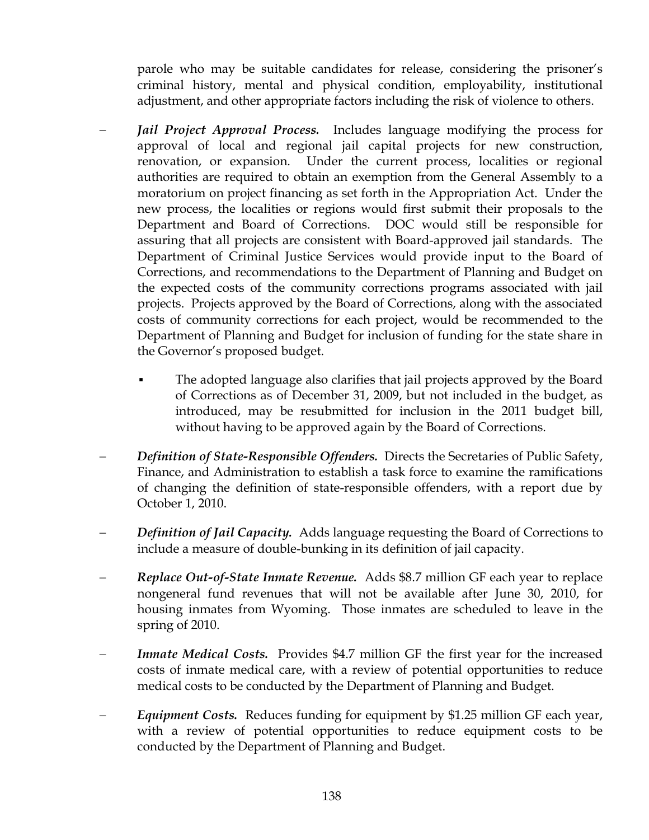parole who may be suitable candidates for release, considering the prisoner's criminal history, mental and physical condition, employability, institutional adjustment, and other appropriate factors including the risk of violence to others.

- *Jail Project Approval Process.* Includes language modifying the process for approval of local and regional jail capital projects for new construction, renovation, or expansion. Under the current process, localities or regional authorities are required to obtain an exemption from the General Assembly to a moratorium on project financing as set forth in the Appropriation Act. Under the new process, the localities or regions would first submit their proposals to the Department and Board of Corrections. DOC would still be responsible for assuring that all projects are consistent with Board-approved jail standards. The Department of Criminal Justice Services would provide input to the Board of Corrections, and recommendations to the Department of Planning and Budget on the expected costs of the community corrections programs associated with jail projects. Projects approved by the Board of Corrections, along with the associated costs of community corrections for each project, would be recommended to the Department of Planning and Budget for inclusion of funding for the state share in the Governor's proposed budget.
	- The adopted language also clarifies that jail projects approved by the Board of Corrections as of December 31, 2009, but not included in the budget, as introduced, may be resubmitted for inclusion in the 2011 budget bill, without having to be approved again by the Board of Corrections.
- − *Definition of State-Responsible Offenders.* Directs the Secretaries of Public Safety, Finance, and Administration to establish a task force to examine the ramifications of changing the definition of state-responsible offenders, with a report due by October 1, 2010.
- *Definition of Jail Capacity.* Adds language requesting the Board of Corrections to include a measure of double-bunking in its definition of jail capacity.
- − *Replace Out-of-State Inmate Revenue.* Adds \$8.7 million GF each year to replace nongeneral fund revenues that will not be available after June 30, 2010, for housing inmates from Wyoming. Those inmates are scheduled to leave in the spring of 2010.
- *Inmate Medical Costs.* Provides \$4.7 million GF the first year for the increased costs of inmate medical care, with a review of potential opportunities to reduce medical costs to be conducted by the Department of Planning and Budget.
- − *Equipment Costs.* Reduces funding for equipment by \$1.25 million GF each year, with a review of potential opportunities to reduce equipment costs to be conducted by the Department of Planning and Budget.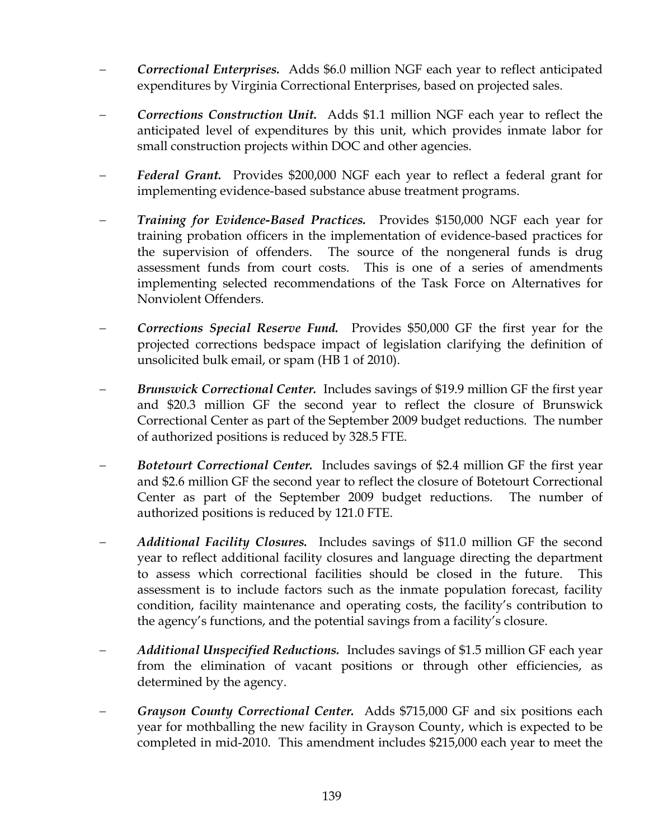- − *Correctional Enterprises.* Adds \$6.0 million NGF each year to reflect anticipated expenditures by Virginia Correctional Enterprises, based on projected sales.
- − *Corrections Construction Unit.* Adds \$1.1 million NGF each year to reflect the anticipated level of expenditures by this unit, which provides inmate labor for small construction projects within DOC and other agencies.
- − *Federal Grant.* Provides \$200,000 NGF each year to reflect a federal grant for implementing evidence-based substance abuse treatment programs.
- − *Training for Evidence-Based Practices.* Provides \$150,000 NGF each year for training probation officers in the implementation of evidence-based practices for the supervision of offenders. The source of the nongeneral funds is drug assessment funds from court costs. This is one of a series of amendments implementing selected recommendations of the Task Force on Alternatives for Nonviolent Offenders.
- − *Corrections Special Reserve Fund.* Provides \$50,000 GF the first year for the projected corrections bedspace impact of legislation clarifying the definition of unsolicited bulk email, or spam (HB 1 of 2010).
- Brunswick Correctional Center. Includes savings of \$19.9 million GF the first year and \$20.3 million GF the second year to reflect the closure of Brunswick Correctional Center as part of the September 2009 budget reductions. The number of authorized positions is reduced by 328.5 FTE.
- − *Botetourt Correctional Center.* Includes savings of \$2.4 million GF the first year and \$2.6 million GF the second year to reflect the closure of Botetourt Correctional Center as part of the September 2009 budget reductions. The number of authorized positions is reduced by 121.0 FTE.
- *Additional Facility Closures.* Includes savings of \$11.0 million GF the second year to reflect additional facility closures and language directing the department to assess which correctional facilities should be closed in the future. This assessment is to include factors such as the inmate population forecast, facility condition, facility maintenance and operating costs, the facility's contribution to the agency's functions, and the potential savings from a facility's closure.
- − *Additional Unspecified Reductions.* Includes savings of \$1.5 million GF each year from the elimination of vacant positions or through other efficiencies, as determined by the agency.
- Grayson County Correctional Center. Adds \$715,000 GF and six positions each year for mothballing the new facility in Grayson County, which is expected to be completed in mid-2010. This amendment includes \$215,000 each year to meet the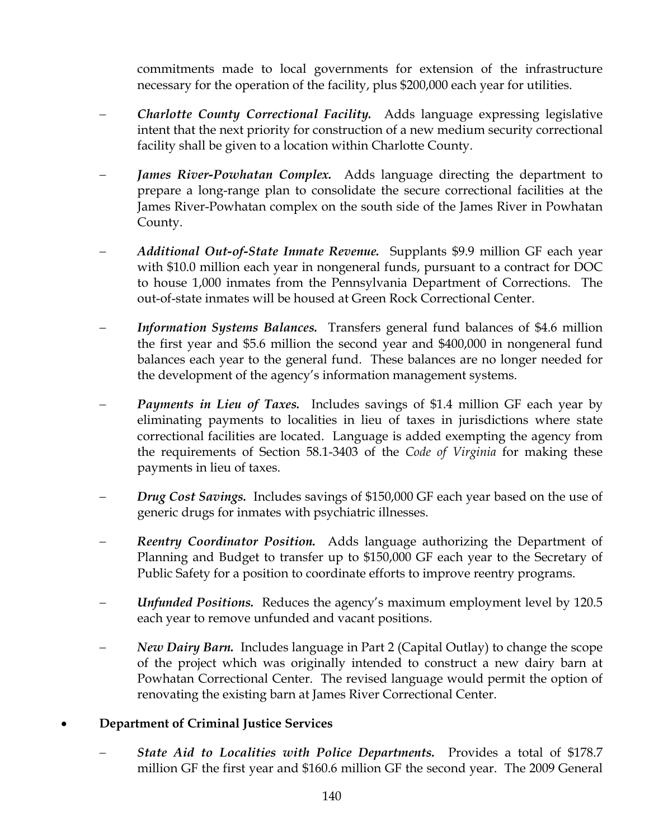commitments made to local governments for extension of the infrastructure necessary for the operation of the facility, plus \$200,000 each year for utilities.

- − *Charlotte County Correctional Facility.* Adds language expressing legislative intent that the next priority for construction of a new medium security correctional facility shall be given to a location within Charlotte County.
- *James River-Powhatan Complex.* Adds language directing the department to prepare a long-range plan to consolidate the secure correctional facilities at the James River-Powhatan complex on the south side of the James River in Powhatan County.
- − *Additional Out-of-State Inmate Revenue.* Supplants \$9.9 million GF each year with \$10.0 million each year in nongeneral funds, pursuant to a contract for DOC to house 1,000 inmates from the Pennsylvania Department of Corrections. The out-of-state inmates will be housed at Green Rock Correctional Center.
- *Information Systems Balances.* Transfers general fund balances of \$4.6 million the first year and \$5.6 million the second year and \$400,000 in nongeneral fund balances each year to the general fund. These balances are no longer needed for the development of the agency's information management systems.
- − *Payments in Lieu of Taxes.* Includes savings of \$1.4 million GF each year by eliminating payments to localities in lieu of taxes in jurisdictions where state correctional facilities are located. Language is added exempting the agency from the requirements of Section 58.1-3403 of the *Code of Virginia* for making these payments in lieu of taxes.
- *Drug Cost Savings.* Includes savings of \$150,000 GF each year based on the use of generic drugs for inmates with psychiatric illnesses.
- **Reentry Coordinator Position.** Adds language authorizing the Department of Planning and Budget to transfer up to \$150,000 GF each year to the Secretary of Public Safety for a position to coordinate efforts to improve reentry programs.
- − *Unfunded Positions.* Reduces the agency's maximum employment level by 120.5 each year to remove unfunded and vacant positions.
- *New Dairy Barn.* Includes language in Part 2 (Capital Outlay) to change the scope of the project which was originally intended to construct a new dairy barn at Powhatan Correctional Center. The revised language would permit the option of renovating the existing barn at James River Correctional Center.

#### • **Department of Criminal Justice Services**

− *State Aid to Localities with Police Departments.* Provides a total of \$178.7 million GF the first year and \$160.6 million GF the second year. The 2009 General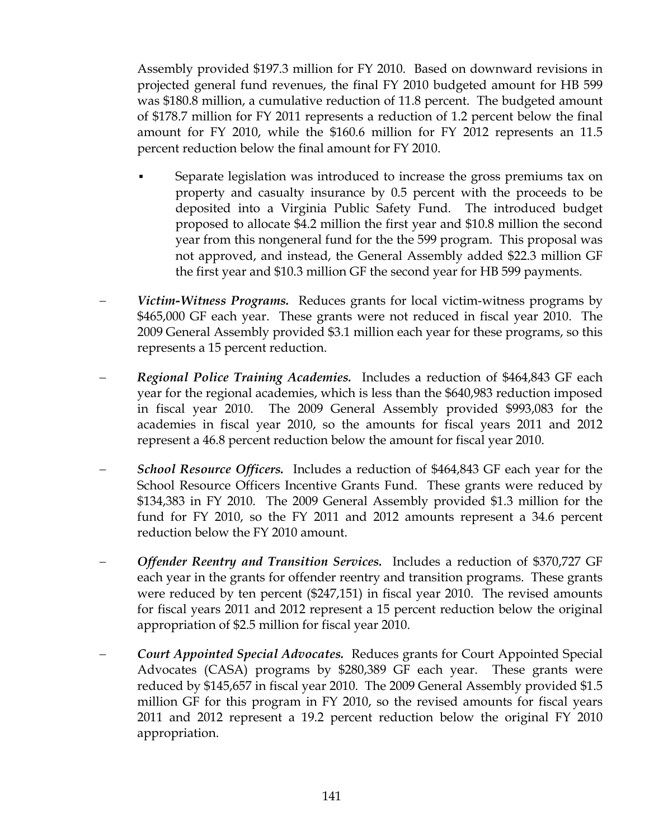Assembly provided \$197.3 million for FY 2010. Based on downward revisions in projected general fund revenues, the final FY 2010 budgeted amount for HB 599 was \$180.8 million, a cumulative reduction of 11.8 percent. The budgeted amount of \$178.7 million for FY 2011 represents a reduction of 1.2 percent below the final amount for FY 2010, while the \$160.6 million for FY 2012 represents an 11.5 percent reduction below the final amount for FY 2010.

- Separate legislation was introduced to increase the gross premiums tax on property and casualty insurance by 0.5 percent with the proceeds to be deposited into a Virginia Public Safety Fund. The introduced budget proposed to allocate \$4.2 million the first year and \$10.8 million the second year from this nongeneral fund for the the 599 program. This proposal was not approved, and instead, the General Assembly added \$22.3 million GF the first year and \$10.3 million GF the second year for HB 599 payments.
- *Victim-Witness Programs.* Reduces grants for local victim-witness programs by \$465,000 GF each year. These grants were not reduced in fiscal year 2010. The 2009 General Assembly provided \$3.1 million each year for these programs, so this represents a 15 percent reduction.
- − *Regional Police Training Academies.* Includes a reduction of \$464,843 GF each year for the regional academies, which is less than the \$640,983 reduction imposed in fiscal year 2010. The 2009 General Assembly provided \$993,083 for the academies in fiscal year 2010, so the amounts for fiscal years 2011 and 2012 represent a 46.8 percent reduction below the amount for fiscal year 2010.
- − *School Resource Officers.* Includes a reduction of \$464,843 GF each year for the School Resource Officers Incentive Grants Fund. These grants were reduced by \$134,383 in FY 2010. The 2009 General Assembly provided \$1.3 million for the fund for FY 2010, so the FY 2011 and 2012 amounts represent a 34.6 percent reduction below the FY 2010 amount.
- − *Offender Reentry and Transition Services.* Includes a reduction of \$370,727 GF each year in the grants for offender reentry and transition programs. These grants were reduced by ten percent (\$247,151) in fiscal year 2010. The revised amounts for fiscal years 2011 and 2012 represent a 15 percent reduction below the original appropriation of \$2.5 million for fiscal year 2010.
- − *Court Appointed Special Advocates.* Reduces grants for Court Appointed Special Advocates (CASA) programs by \$280,389 GF each year. These grants were reduced by \$145,657 in fiscal year 2010. The 2009 General Assembly provided \$1.5 million GF for this program in FY 2010, so the revised amounts for fiscal years 2011 and 2012 represent a 19.2 percent reduction below the original FY 2010 appropriation.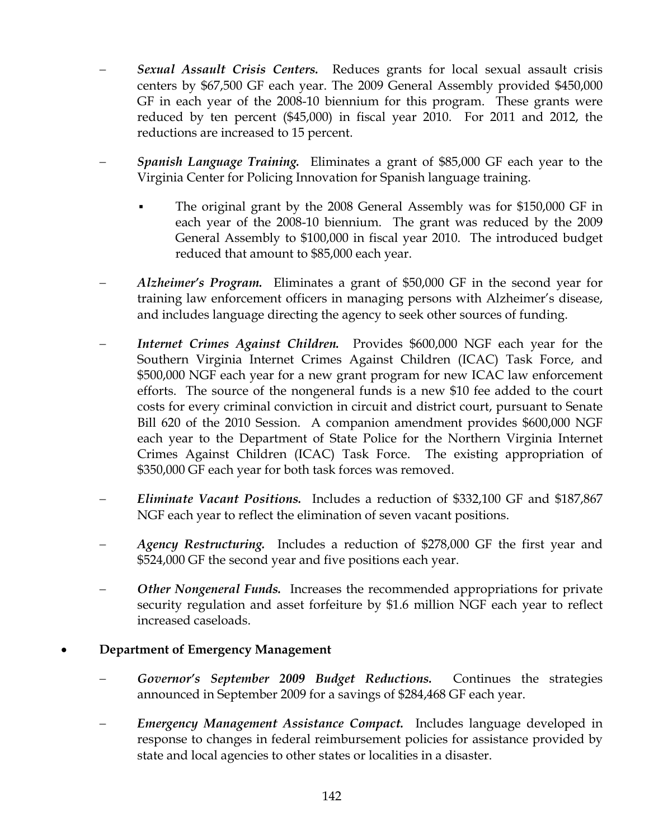- **Sexual Assault Crisis Centers.** Reduces grants for local sexual assault crisis centers by \$67,500 GF each year. The 2009 General Assembly provided \$450,000 GF in each year of the 2008-10 biennium for this program. These grants were reduced by ten percent (\$45,000) in fiscal year 2010. For 2011 and 2012, the reductions are increased to 15 percent.
- − *Spanish Language Training.* Eliminates a grant of \$85,000 GF each year to the Virginia Center for Policing Innovation for Spanish language training.
	- The original grant by the 2008 General Assembly was for \$150,000 GF in each year of the 2008-10 biennium. The grant was reduced by the 2009 General Assembly to \$100,000 in fiscal year 2010. The introduced budget reduced that amount to \$85,000 each year.
- − *Alzheimer's Program.* Eliminates a grant of \$50,000 GF in the second year for training law enforcement officers in managing persons with Alzheimer's disease, and includes language directing the agency to seek other sources of funding.
- *Internet Crimes Against Children.* Provides \$600,000 NGF each year for the Southern Virginia Internet Crimes Against Children (ICAC) Task Force, and \$500,000 NGF each year for a new grant program for new ICAC law enforcement efforts. The source of the nongeneral funds is a new \$10 fee added to the court costs for every criminal conviction in circuit and district court, pursuant to Senate Bill 620 of the 2010 Session. A companion amendment provides \$600,000 NGF each year to the Department of State Police for the Northern Virginia Internet Crimes Against Children (ICAC) Task Force. The existing appropriation of \$350,000 GF each year for both task forces was removed.
- − *Eliminate Vacant Positions.* Includes a reduction of \$332,100 GF and \$187,867 NGF each year to reflect the elimination of seven vacant positions.
- − *Agency Restructuring.* Includes a reduction of \$278,000 GF the first year and \$524,000 GF the second year and five positions each year.
- *Other Nongeneral Funds.* Increases the recommended appropriations for private security regulation and asset forfeiture by \$1.6 million NGF each year to reflect increased caseloads.

## • **Department of Emergency Management**

- − *Governor's September 2009 Budget Reductions.* Continues the strategies announced in September 2009 for a savings of \$284,468 GF each year.
- − *Emergency Management Assistance Compact.* Includes language developed in response to changes in federal reimbursement policies for assistance provided by state and local agencies to other states or localities in a disaster.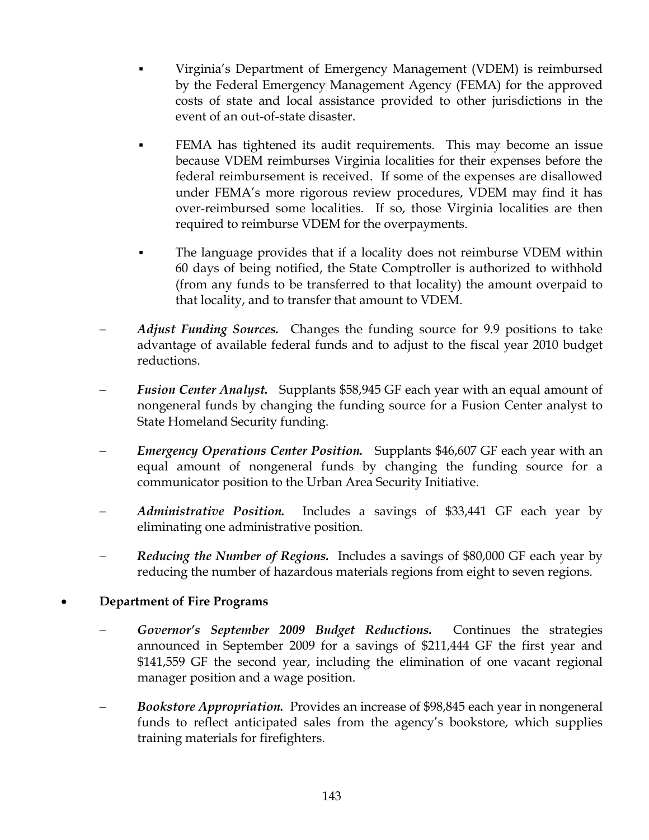- Virginia's Department of Emergency Management (VDEM) is reimbursed by the Federal Emergency Management Agency (FEMA) for the approved costs of state and local assistance provided to other jurisdictions in the event of an out-of-state disaster.
- FEMA has tightened its audit requirements. This may become an issue because VDEM reimburses Virginia localities for their expenses before the federal reimbursement is received. If some of the expenses are disallowed under FEMA's more rigorous review procedures, VDEM may find it has over-reimbursed some localities. If so, those Virginia localities are then required to reimburse VDEM for the overpayments.
- The language provides that if a locality does not reimburse VDEM within 60 days of being notified, the State Comptroller is authorized to withhold (from any funds to be transferred to that locality) the amount overpaid to that locality, and to transfer that amount to VDEM.
- *Adjust Funding Sources.* Changes the funding source for 9.9 positions to take advantage of available federal funds and to adjust to the fiscal year 2010 budget reductions.
- Fusion Center Analyst. Supplants \$58,945 GF each year with an equal amount of nongeneral funds by changing the funding source for a Fusion Center analyst to State Homeland Security funding.
- *Emergency Operations Center Position.* Supplants \$46,607 GF each year with an equal amount of nongeneral funds by changing the funding source for a communicator position to the Urban Area Security Initiative.
- *Administrative Position.* Includes a savings of \$33,441 GF each year by eliminating one administrative position.
- *Reducing the Number of Regions.* Includes a savings of \$80,000 GF each year by reducing the number of hazardous materials regions from eight to seven regions.

## • **Department of Fire Programs**

- Governor's September 2009 Budget Reductions. Continues the strategies announced in September 2009 for a savings of \$211,444 GF the first year and \$141,559 GF the second year, including the elimination of one vacant regional manager position and a wage position.
- − *Bookstore Appropriation.* Provides an increase of \$98,845 each year in nongeneral funds to reflect anticipated sales from the agency's bookstore, which supplies training materials for firefighters.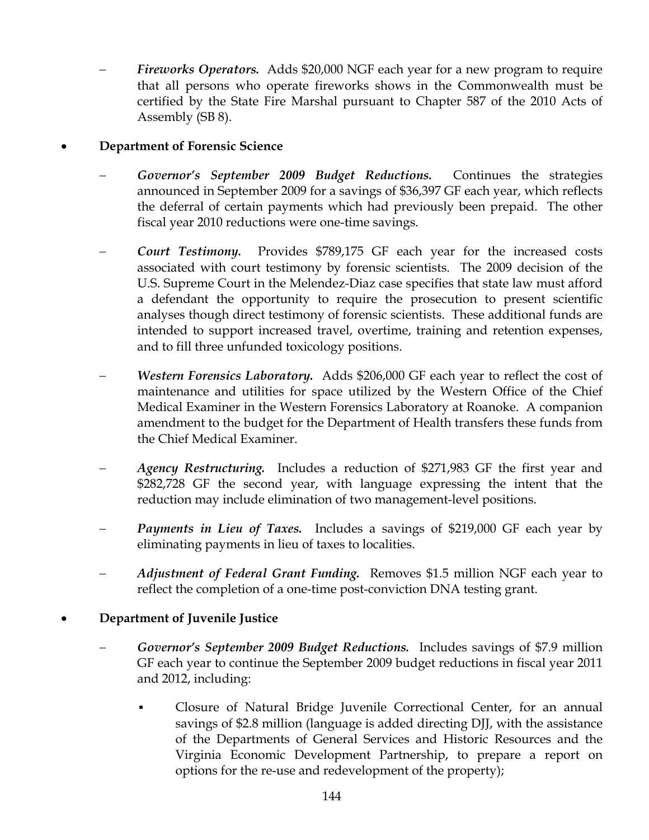Fireworks Operators. Adds \$20,000 NGF each year for a new program to require that all persons who operate fireworks shows in the Commonwealth must be certified by the State Fire Marshal pursuant to Chapter 587 of the 2010 Acts of Assembly (SB 8).

#### • **Department of Forensic Science**

- Governor's September 2009 Budget Reductions. Continues the strategies announced in September 2009 for a savings of \$36,397 GF each year, which reflects the deferral of certain payments which had previously been prepaid. The other fiscal year 2010 reductions were one-time savings.
- − *Court Testimony.* Provides \$789,175 GF each year for the increased costs associated with court testimony by forensic scientists. The 2009 decision of the U.S. Supreme Court in the Melendez-Diaz case specifies that state law must afford a defendant the opportunity to require the prosecution to present scientific analyses though direct testimony of forensic scientists. These additional funds are intended to support increased travel, overtime, training and retention expenses, and to fill three unfunded toxicology positions.
- *Western Forensics Laboratory.* Adds \$206,000 GF each year to reflect the cost of maintenance and utilities for space utilized by the Western Office of the Chief Medical Examiner in the Western Forensics Laboratory at Roanoke. A companion amendment to the budget for the Department of Health transfers these funds from the Chief Medical Examiner.
- *Agency Restructuring.* Includes a reduction of \$271,983 GF the first year and \$282,728 GF the second year, with language expressing the intent that the reduction may include elimination of two management-level positions.
- **Payments in Lieu of Taxes.** Includes a savings of \$219,000 GF each year by eliminating payments in lieu of taxes to localities.
- − *Adjustment of Federal Grant Funding.* Removes \$1.5 million NGF each year to reflect the completion of a one-time post-conviction DNA testing grant.

## • **Department of Juvenile Justice**

- − *Governor's September 2009 Budget Reductions.* Includes savings of \$7.9 million GF each year to continue the September 2009 budget reductions in fiscal year 2011 and 2012, including:
	- Closure of Natural Bridge Juvenile Correctional Center, for an annual savings of \$2.8 million (language is added directing DJJ, with the assistance of the Departments of General Services and Historic Resources and the Virginia Economic Development Partnership, to prepare a report on options for the re-use and redevelopment of the property);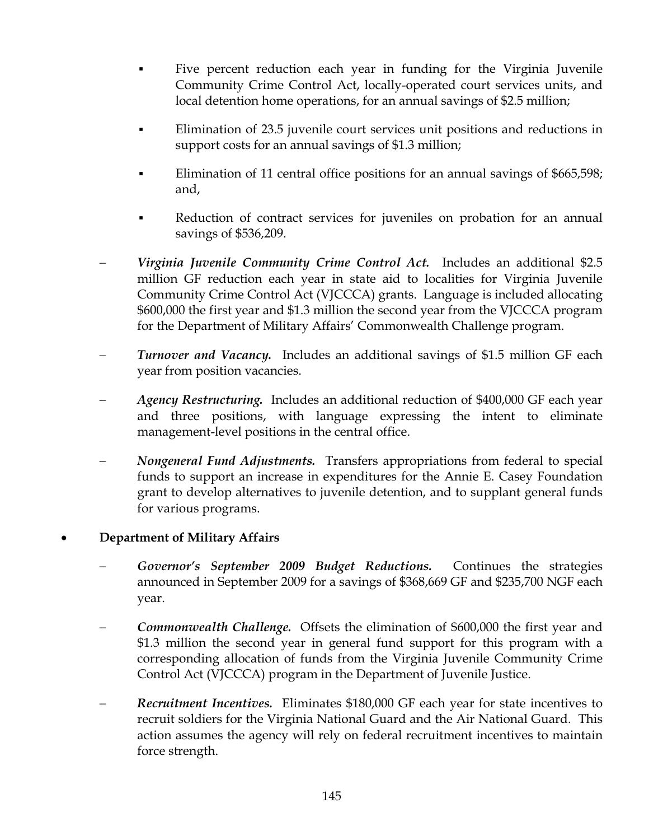- Five percent reduction each year in funding for the Virginia Juvenile Community Crime Control Act, locally-operated court services units, and local detention home operations, for an annual savings of \$2.5 million;
- Elimination of 23.5 juvenile court services unit positions and reductions in support costs for an annual savings of \$1.3 million;
- Elimination of 11 central office positions for an annual savings of \$665,598; and,
- Reduction of contract services for juveniles on probation for an annual savings of \$536,209.
- − *Virginia Juvenile Community Crime Control Act.* Includes an additional \$2.5 million GF reduction each year in state aid to localities for Virginia Juvenile Community Crime Control Act (VJCCCA) grants. Language is included allocating \$600,000 the first year and \$1.3 million the second year from the VJCCCA program for the Department of Military Affairs' Commonwealth Challenge program.
- *Turnover and Vacancy.* Includes an additional savings of \$1.5 million GF each year from position vacancies.
- *Agency Restructuring.* Includes an additional reduction of \$400,000 GF each year and three positions, with language expressing the intent to eliminate management-level positions in the central office.
- *Nongeneral Fund Adjustments.* Transfers appropriations from federal to special funds to support an increase in expenditures for the Annie E. Casey Foundation grant to develop alternatives to juvenile detention, and to supplant general funds for various programs.

## • **Department of Military Affairs**

- Governor's September 2009 Budget Reductions. Continues the strategies announced in September 2009 for a savings of \$368,669 GF and \$235,700 NGF each year.
- Commonwealth Challenge. Offsets the elimination of \$600,000 the first year and \$1.3 million the second year in general fund support for this program with a corresponding allocation of funds from the Virginia Juvenile Community Crime Control Act (VJCCCA) program in the Department of Juvenile Justice.
- − *Recruitment Incentives.* Eliminates \$180,000 GF each year for state incentives to recruit soldiers for the Virginia National Guard and the Air National Guard. This action assumes the agency will rely on federal recruitment incentives to maintain force strength.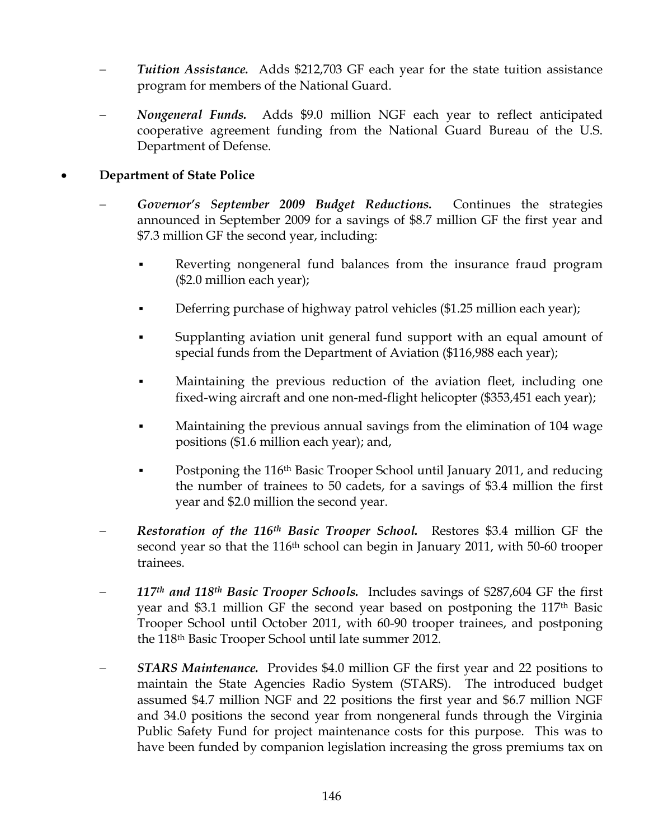- Tuition Assistance. Adds \$212,703 GF each year for the state tuition assistance program for members of the National Guard.
- − *Nongeneral Funds.* Adds \$9.0 million NGF each year to reflect anticipated cooperative agreement funding from the National Guard Bureau of the U.S. Department of Defense.

#### • **Department of State Police**

- − *Governor's September 2009 Budget Reductions.* Continues the strategies announced in September 2009 for a savings of \$8.7 million GF the first year and \$7.3 million GF the second year, including:
	- Reverting nongeneral fund balances from the insurance fraud program (\$2.0 million each year);
	- **•** Deferring purchase of highway patrol vehicles (\$1.25 million each year);
	- Supplanting aviation unit general fund support with an equal amount of special funds from the Department of Aviation (\$116,988 each year);
	- Maintaining the previous reduction of the aviation fleet, including one fixed-wing aircraft and one non-med-flight helicopter (\$353,451 each year);
	- Maintaining the previous annual savings from the elimination of 104 wage positions (\$1.6 million each year); and,
	- Postponing the 116<sup>th</sup> Basic Trooper School until January 2011, and reducing the number of trainees to 50 cadets, for a savings of \$3.4 million the first year and \$2.0 million the second year.
- − *Restoration of the 116th Basic Trooper School.* Restores \$3.4 million GF the second year so that the 116th school can begin in January 2011, with 50-60 trooper trainees.
- − *117th and 118th Basic Trooper Schools.* Includes savings of \$287,604 GF the first year and \$3.1 million GF the second year based on postponing the 117th Basic Trooper School until October 2011, with 60-90 trooper trainees, and postponing the 118th Basic Trooper School until late summer 2012.
- − *STARS Maintenance.* Provides \$4.0 million GF the first year and 22 positions to maintain the State Agencies Radio System (STARS). The introduced budget assumed \$4.7 million NGF and 22 positions the first year and \$6.7 million NGF and 34.0 positions the second year from nongeneral funds through the Virginia Public Safety Fund for project maintenance costs for this purpose. This was to have been funded by companion legislation increasing the gross premiums tax on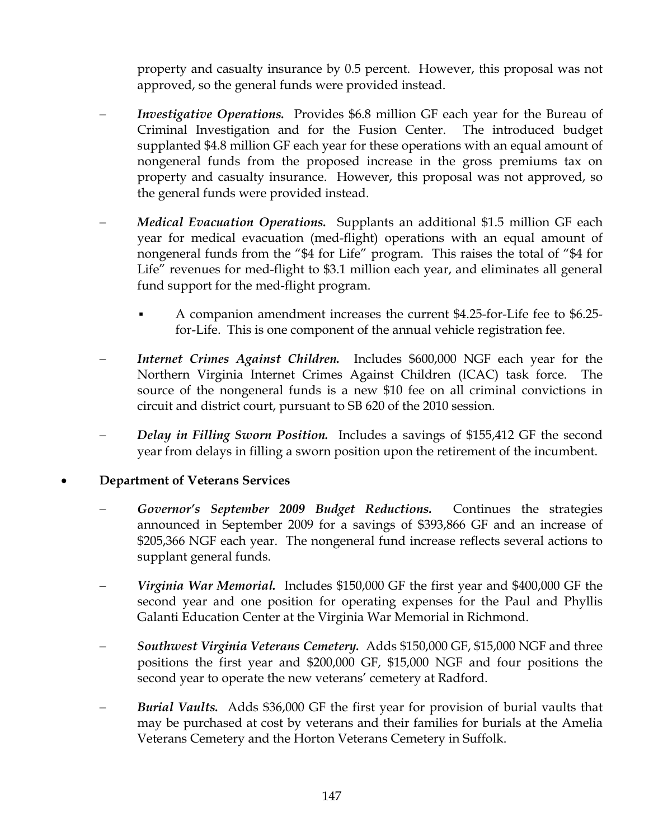property and casualty insurance by 0.5 percent. However, this proposal was not approved, so the general funds were provided instead.

- *Investigative Operations.* Provides \$6.8 million GF each year for the Bureau of Criminal Investigation and for the Fusion Center. The introduced budget supplanted \$4.8 million GF each year for these operations with an equal amount of nongeneral funds from the proposed increase in the gross premiums tax on property and casualty insurance. However, this proposal was not approved, so the general funds were provided instead.
- *Medical Evacuation Operations.* Supplants an additional \$1.5 million GF each year for medical evacuation (med-flight) operations with an equal amount of nongeneral funds from the "\$4 for Life" program. This raises the total of "\$4 for Life" revenues for med-flight to \$3.1 million each year, and eliminates all general fund support for the med-flight program.
	- A companion amendment increases the current \$4.25-for-Life fee to \$6.25 for-Life. This is one component of the annual vehicle registration fee.
- *Internet Crimes Against Children.* Includes \$600,000 NGF each year for the Northern Virginia Internet Crimes Against Children (ICAC) task force. The source of the nongeneral funds is a new \$10 fee on all criminal convictions in circuit and district court, pursuant to SB 620 of the 2010 session.
- *Delay in Filling Sworn Position.* Includes a savings of \$155,412 GF the second year from delays in filling a sworn position upon the retirement of the incumbent.

#### • **Department of Veterans Services**

- Governor's September 2009 Budget Reductions. Continues the strategies announced in September 2009 for a savings of \$393,866 GF and an increase of \$205,366 NGF each year. The nongeneral fund increase reflects several actions to supplant general funds.
- *Virginia War Memorial.* Includes \$150,000 GF the first year and \$400,000 GF the second year and one position for operating expenses for the Paul and Phyllis Galanti Education Center at the Virginia War Memorial in Richmond.
- − *Southwest Virginia Veterans Cemetery.* Adds \$150,000 GF, \$15,000 NGF and three positions the first year and \$200,000 GF, \$15,000 NGF and four positions the second year to operate the new veterans' cemetery at Radford.
- − *Burial Vaults.* Adds \$36,000 GF the first year for provision of burial vaults that may be purchased at cost by veterans and their families for burials at the Amelia Veterans Cemetery and the Horton Veterans Cemetery in Suffolk.